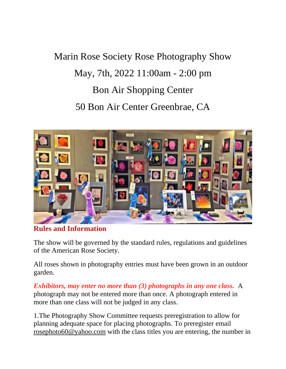# Marin Rose Society Rose Photography Show May, 7th, 2022 11:00am - 2:00 pm Bon Air Shopping Center 50 Bon Air Center Greenbrae, CA



**Rules and Information**

The show will be governed by the standard rules, regulations and guidelines of the American Rose Society.

All roses shown in photography entries must have been grown in an outdoor garden.

*Exhibitors, may enter no more than (3) photographs in any one class.* A photograph may not be entered more than once. A photograph entered in more than one class will not be judged in any class.

1.The Photography Show Committee requests preregistration to allow for planning adequate space for placing photographs. To preregister email [rosephoto60@yahoo.com](mailto:rosephoto60@yahoo.com) with the class titles you are entering, the number in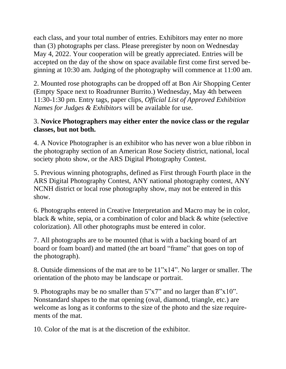each class, and your total number of entries. Exhibitors may enter no more than (3) photographs per class. Please preregister by noon on Wednesday May 4, 2022. Your cooperation will be greatly appreciated. Entries will be accepted on the day of the show on space available first come first served beginning at 10:30 am. Judging of the photography will commence at 11:00 am.

2. Mounted rose photographs can be dropped off at Bon Air Shopping Center (Empty Space next to Roadrunner Burrito.) Wednesday, May 4th between 11:30-1:30 pm. Entry tags, paper clips, *Official List of Approved Exhibition Names for Judges & Exhibitors* will be available for use.

#### 3. **Novice Photographers may either enter the novice class or the regular classes, but not both.**

4. A Novice Photographer is an exhibitor who has never won a blue ribbon in the photography section of an American Rose Society district, national, local society photo show, or the ARS Digital Photography Contest.

5. Previous winning photographs, defined as First through Fourth place in the ARS Digital Photography Contest, ANY national photography contest, ANY NCNH district or local rose photography show, may not be entered in this show.

6. Photographs entered in Creative Interpretation and Macro may be in color, black & white, sepia, or a combination of color and black & white (selective colorization). All other photographs must be entered in color.

7. All photographs are to be mounted (that is with a backing board of art board or foam board) and matted (the art board "frame" that goes on top of the photograph).

8. Outside dimensions of the mat are to be 11"x14". No larger or smaller. The orientation of the photo may be landscape or portrait.

9. Photographs may be no smaller than 5"x7" and no larger than 8"x10". Nonstandard shapes to the mat opening (oval, diamond, triangle, etc.) are welcome as long as it conforms to the size of the photo and the size requirements of the mat.

10. Color of the mat is at the discretion of the exhibitor.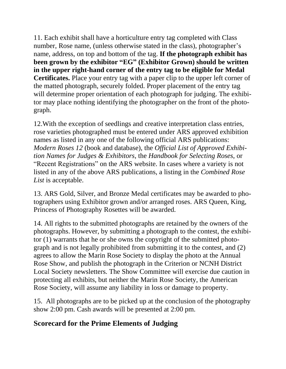11. Each exhibit shall have a horticulture entry tag completed with Class number, Rose name, (unless otherwise stated in the class), photographer's name, address, on top and bottom of the tag. **If the photograph exhibit has been grown by the exhibitor "EG" (Exhibitor Grown) should be written in the upper right-hand corner of the entry tag to be eligible for Medal Certificates.** Place your entry tag with a paper clip to the upper left corner of the matted photograph, securely folded. Proper placement of the entry tag will determine proper orientation of each photograph for judging. The exhibitor may place nothing identifying the photographer on the front of the photograph.

12.With the exception of seedlings and creative interpretation class entries, rose varieties photographed must be entered under ARS approved exhibition names as listed in any one of the following official ARS publications: *Modern Roses 12* (book and database), the *Official List of Approved Exhibition Names for Judges & Exhibitors*, the *Handbook for Selecting Roses*, or "Recent Registrations" on the ARS website. In cases where a variety is not listed in any of the above ARS publications, a listing in the *Combined Rose List* is acceptable.

13. ARS Gold, Silver, and Bronze Medal certificates may be awarded to photographers using Exhibitor grown and/or arranged roses. ARS Queen, King, Princess of Photography Rosettes will be awarded.

14. All rights to the submitted photographs are retained by the owners of the photographs. However, by submitting a photograph to the contest, the exhibitor (1) warrants that he or she owns the copyright of the submitted photograph and is not legally prohibited from submitting it to the contest, and (2) agrees to allow the Marin Rose Society to display the photo at the Annual Rose Show, and publish the photograph in the Criterion or NCNH District Local Society newsletters. The Show Committee will exercise due caution in protecting all exhibits, but neither the Marin Rose Society, the American Rose Society, will assume any liability in loss or damage to property.

15. All photographs are to be picked up at the conclusion of the photography show 2:00 pm. Cash awards will be presented at 2:00 pm.

#### **Scorecard for the Prime Elements of Judging**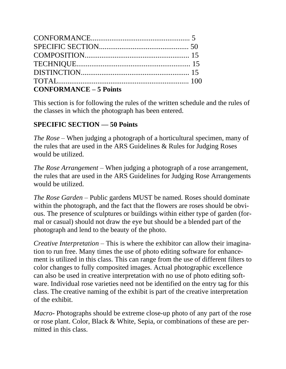| <b>CONFORMANCE - 5 Points</b> |  |
|-------------------------------|--|

This section is for following the rules of the written schedule and the rules of the classes in which the photograph has been entered.

#### **SPECIFIC SECTION — 50 Points**

*The Rose* – When judging a photograph of a horticultural specimen, many of the rules that are used in the ARS Guidelines & Rules for Judging Roses would be utilized.

*The Rose Arrangement* – When judging a photograph of a rose arrangement, the rules that are used in the ARS Guidelines for Judging Rose Arrangements would be utilized.

*The Rose Garden* – Public gardens MUST be named. Roses should dominate within the photograph, and the fact that the flowers are roses should be obvious. The presence of sculptures or buildings within either type of garden (formal or casual) should not draw the eye but should be a blended part of the photograph and lend to the beauty of the photo.

*Creative Interpretation* – This is where the exhibitor can allow their imagination to run free. Many times the use of photo editing software for enhancement is utilized in this class. This can range from the use of different filters to color changes to fully composited images. Actual photographic excellence can also be used in creative interpretation with no use of photo editing software. Individual rose varieties need not be identified on the entry tag for this class. The creative naming of the exhibit is part of the creative interpretation of the exhibit.

*Macro-* Photographs should be extreme close-up photo of any part of the rose or rose plant. Color, Black & White, Sepia, or combinations of these are permitted in this class.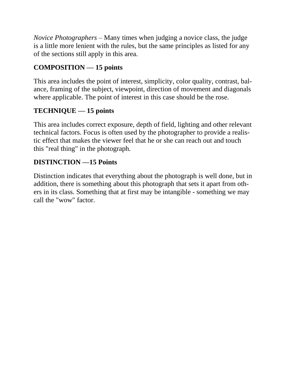*Novice Photographers* – Many times when judging a novice class, the judge is a little more lenient with the rules, but the same principles as listed for any of the sections still apply in this area.

#### **COMPOSITION — 15 points**

This area includes the point of interest, simplicity, color quality, contrast, balance, framing of the subject, viewpoint, direction of movement and diagonals where applicable. The point of interest in this case should be the rose.

#### **TECHNIQUE — 15 points**

This area includes correct exposure, depth of field, lighting and other relevant technical factors. Focus is often used by the photographer to provide a realistic effect that makes the viewer feel that he or she can reach out and touch this "real thing" in the photograph.

#### **DISTINCTION —15 Points**

Distinction indicates that everything about the photograph is well done, but in addition, there is something about this photograph that sets it apart from others in its class. Something that at first may be intangible - something we may call the "wow" factor.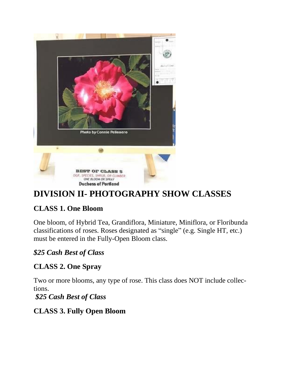

# **DIVISION II- PHOTOGRAPHY SHOW CLASSES**

# **CLASS 1. One Bloom**

One bloom, of Hybrid Tea, Grandiflora, Miniature, Miniflora, or Floribunda classifications of roses. Roses designated as "single" (e.g. Single HT, etc.) must be entered in the Fully-Open Bloom class.

#### *\$25 Cash Best of Class*

# **CLASS 2. One Spray**

Two or more blooms, any type of rose. This class does NOT include collections.

*\$25 Cash Best of Class*

#### **CLASS 3. Fully Open Bloom**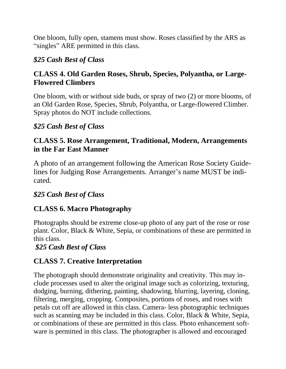One bloom, fully open, stamens must show. Roses classified by the ARS as "singles" ARE permitted in this class.

#### *\$25 Cash Best of Class*

#### **CLASS 4. Old Garden Roses, Shrub, Species, Polyantha, or Large-Flowered Climbers**

One bloom, with or without side buds, or spray of two (2) or more blooms, of an Old Garden Rose, Species, Shrub, Polyantha, or Large-flowered Climber. Spray photos do NOT include collections.

#### *\$25 Cash Best of Class*

#### **CLASS 5. Rose Arrangement, Traditional, Modern, Arrangements in the Far East Manner**

A photo of an arrangement following the American Rose Society Guidelines for Judging Rose Arrangements. Arranger's name MUST be indicated.

#### *\$25 Cash Best of Class*

#### **CLASS 6. Macro Photography**

Photographs should be extreme close-up photo of any part of the rose or rose plant. Color, Black & White, Sepia, or combinations of these are permitted in this class.

*\$25 Cash Best of Class*

# **CLASS 7. Creative Interpretation**

The photograph should demonstrate originality and creativity. This may include processes used to alter the original image such as colorizing, texturing, dodging, burning, dithering, painting, shadowing, blurring, layering, cloning, filtering, merging, cropping. Composites, portions of roses, and roses with petals cut off are allowed in this class. Camera- less photographic techniques such as scanning may be included in this class. Color, Black & White, Sepia, or combinations of these are permitted in this class. Photo enhancement software is permitted in this class. The photographer is allowed and encouraged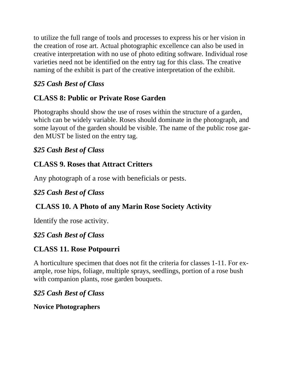to utilize the full range of tools and processes to express his or her vision in the creation of rose art. Actual photographic excellence can also be used in creative interpretation with no use of photo editing software. Individual rose varieties need not be identified on the entry tag for this class. The creative naming of the exhibit is part of the creative interpretation of the exhibit.

#### *\$25 Cash Best of Class*

# **CLASS 8: Public or Private Rose Garden**

Photographs should show the use of roses within the structure of a garden, which can be widely variable. Roses should dominate in the photograph, and some layout of the garden should be visible. The name of the public rose garden MUST be listed on the entry tag.

# *\$25 Cash Best of Class*

# **CLASS 9. Roses that Attract Critters**

Any photograph of a rose with beneficials or pests.

# *\$25 Cash Best of Class*

# **CLASS 10. A Photo of any Marin Rose Society Activity**

Identify the rose activity.

# *\$25 Cash Best of Class*

# **CLASS 11. Rose Potpourri**

A horticulture specimen that does not fit the criteria for classes 1-11. For example, rose hips, foliage, multiple sprays, seedlings, portion of a rose bush with companion plants, rose garden bouquets.

#### *\$25 Cash Best of Class*

#### **Novice Photographers**